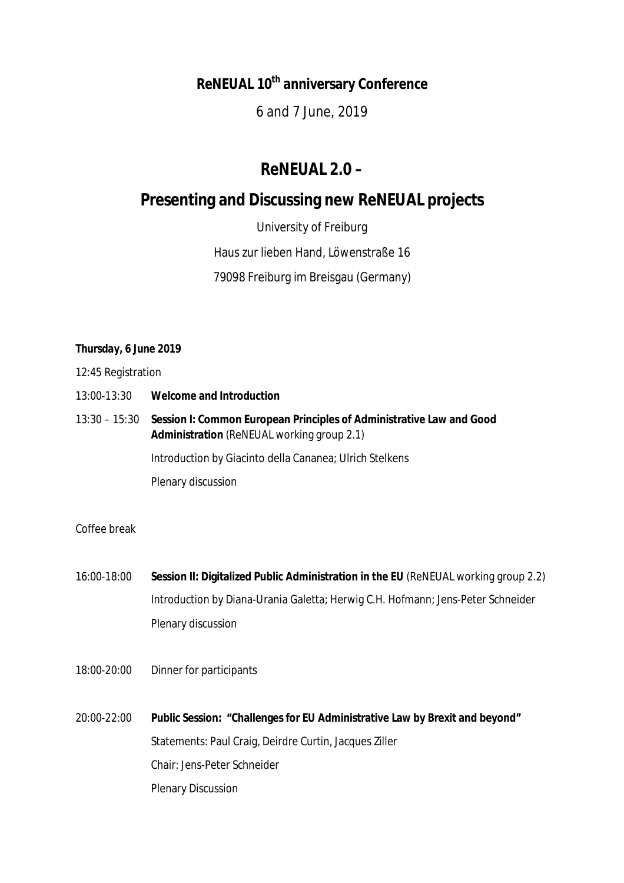# **ReNEUAL 10th anniversary Conference**

6 and 7 June, 2019

## **ReNEUAL 2.0 –**

## **Presenting and Discussing new ReNEUAL projects**

University of Freiburg

Haus zur lieben Hand, Löwenstraße 16

79098 Freiburg im Breisgau (Germany)

## *Thursday, 6 June 2019*

12:45 Registration

- 13:00-13:30 **Welcome and Introduction**
- 13:30 15:30 **Session I: Common European Principles of Administrative Law and Good Administration** (ReNEUAL working group 2.1)

Introduction by Giacinto della Cananea; Ulrich Stelkens

Plenary discussion

## Coffee break

- 16:00-18:00 **Session II: Digitalized Public Administration in the EU** (ReNEUAL working group 2.2) Introduction by Diana-Urania Galetta; Herwig C.H. Hofmann; Jens-Peter Schneider Plenary discussion
- 18:00-20:00 Dinner for participants
- 20:00-22:00 **Public Session: "Challenges for EU Administrative Law by Brexit and beyond"** Statements: Paul Craig, Deirdre Curtin, Jacques Ziller Chair: Jens-Peter Schneider Plenary Discussion